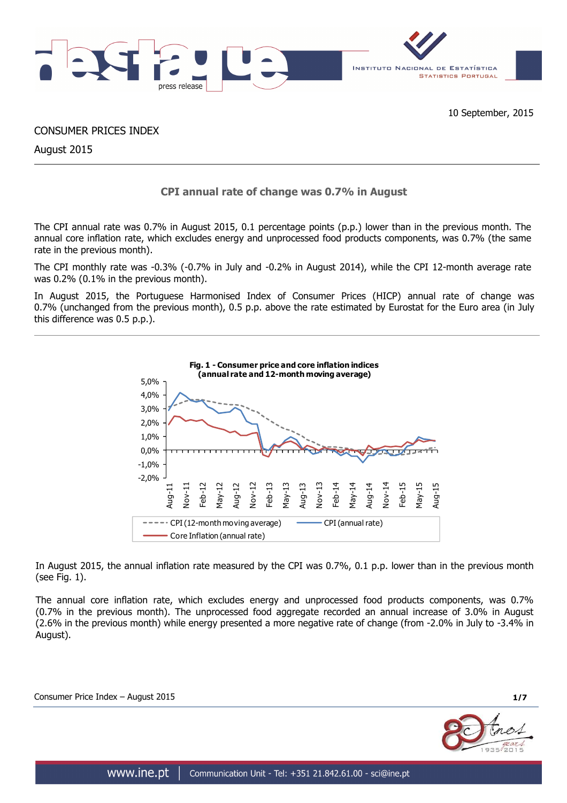

CONSUMER PRICES INDEX

August 2015

# **CPI annual rate of change was 0.7% in August**

The CPI annual rate was 0.7% in August 2015, 0.1 percentage points (p.p.) lower than in the previous month. The annual core inflation rate, which excludes energy and unprocessed food products components, was 0.7% (the same rate in the previous month).

The CPI monthly rate was -0.3% (-0.7% in July and -0.2% in August 2014), while the CPI 12-month average rate was 0.2% (0.1% in the previous month).

In August 2015, the Portuguese Harmonised Index of Consumer Prices (HICP) annual rate of change was 0.7% (unchanged from the previous month), 0.5 p.p. above the rate estimated by Eurostat for the Euro area (in July this difference was 0.5 p.p.).



In August 2015, the annual inflation rate measured by the CPI was 0.7%, 0.1 p.p. lower than in the previous month (see Fig. 1).

The annual core inflation rate, which excludes energy and unprocessed food products components, was 0.7% (0.7% in the previous month). The unprocessed food aggregate recorded an annual increase of 3.0% in August (2.6% in the previous month) while energy presented a more negative rate of change (from -2.0% in July to -3.4% in August).

Consumer Price Index – August 2015 **1/7**

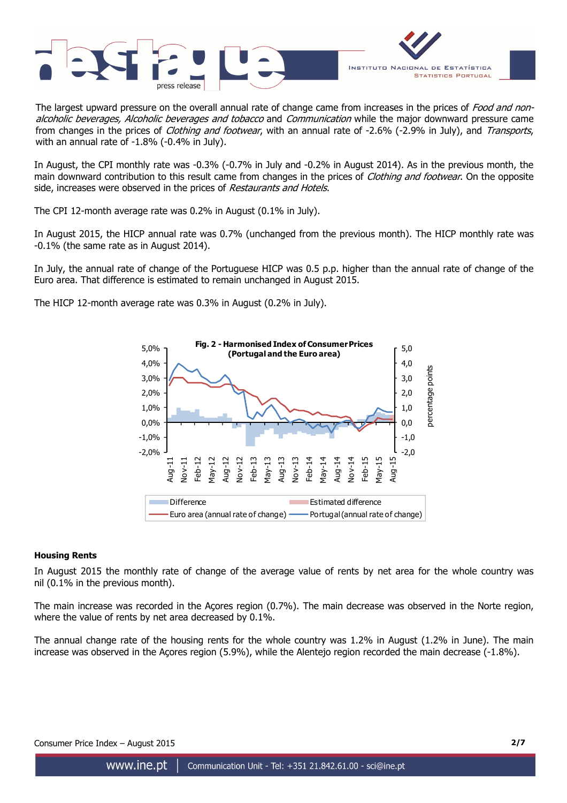



The largest upward pressure on the overall annual rate of change came from increases in the prices of Food and nonalcoholic beverages, Alcoholic beverages and tobacco and Communication while the major downward pressure came from changes in the prices of *Clothing and footwear*, with an annual rate of -2.6% (-2.9% in July), and Transports, with an annual rate of -1.8% (-0.4% in July).

In August, the CPI monthly rate was -0.3% (-0.7% in July and -0.2% in August 2014). As in the previous month, the main downward contribution to this result came from changes in the prices of *Clothing and footwear*. On the opposite side, increases were observed in the prices of Restaurants and Hotels.

The CPI 12-month average rate was 0.2% in August (0.1% in July).

In August 2015, the HICP annual rate was 0.7% (unchanged from the previous month). The HICP monthly rate was -0.1% (the same rate as in August 2014).

In July, the annual rate of change of the Portuguese HICP was 0.5 p.p. higher than the annual rate of change of the Euro area. That difference is estimated to remain unchanged in August 2015.

The HICP 12-month average rate was 0.3% in August (0.2% in July).



# **Housing Rents**

In August 2015 the monthly rate of change of the average value of rents by net area for the whole country was nil (0.1% in the previous month).

The main increase was recorded in the Açores region (0.7%). The main decrease was observed in the Norte region, where the value of rents by net area decreased by 0.1%.

The annual change rate of the housing rents for the whole country was 1.2% in August (1.2% in June). The main increase was observed in the Açores region (5.9%), while the Alentejo region recorded the main decrease (-1.8%).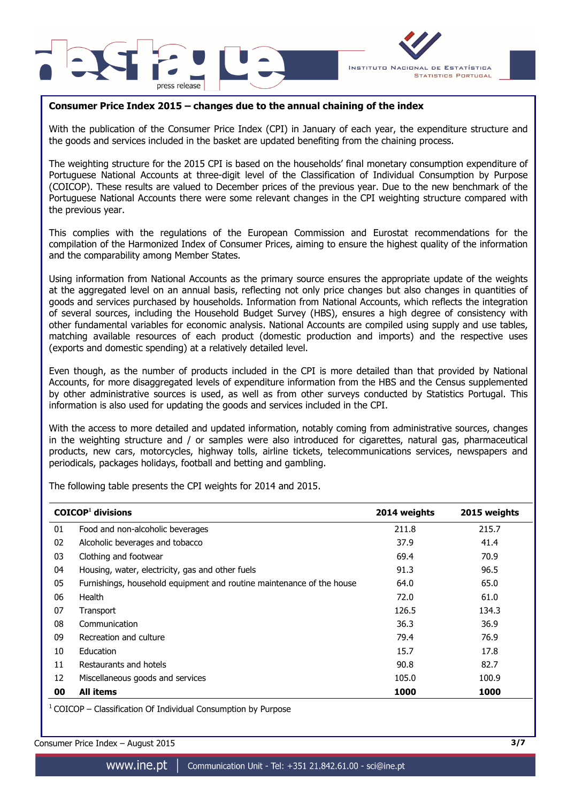



# **Consumer Price Index 2015 – changes due to the annual chaining of the index**

With the publication of the Consumer Price Index (CPI) in January of each year, the expenditure structure and the goods and services included in the basket are updated benefiting from the chaining process.

The weighting structure for the 2015 CPI is based on the households' final monetary consumption expenditure of Portuguese National Accounts at three-digit level of the Classification of Individual Consumption by Purpose (COICOP). These results are valued to December prices of the previous year. Due to the new benchmark of the Portuguese National Accounts there were some relevant changes in the CPI weighting structure compared with the previous year.

This complies with the regulations of the European Commission and Eurostat recommendations for the compilation of the Harmonized Index of Consumer Prices, aiming to ensure the highest quality of the information and the comparability among Member States.

Using information from National Accounts as the primary source ensures the appropriate update of the weights at the aggregated level on an annual basis, reflecting not only price changes but also changes in quantities of goods and services purchased by households. Information from National Accounts, which reflects the integration of several sources, including the Household Budget Survey (HBS), ensures a high degree of consistency with other fundamental variables for economic analysis. National Accounts are compiled using supply and use tables, matching available resources of each product (domestic production and imports) and the respective uses (exports and domestic spending) at a relatively detailed level.

Even though, as the number of products included in the CPI is more detailed than that provided by National Accounts, for more disaggregated levels of expenditure information from the HBS and the Census supplemented by other administrative sources is used, as well as from other surveys conducted by Statistics Portugal. This information is also used for updating the goods and services included in the CPI.

With the access to more detailed and updated information, notably coming from administrative sources, changes in the weighting structure and / or samples were also introduced for cigarettes, natural gas, pharmaceutical products, new cars, motorcycles, highway tolls, airline tickets, telecommunications services, newspapers and periodicals, packages holidays, football and betting and gambling.

The following table presents the CPI weights for 2014 and 2015.

|    | $COICOP1$ divisions                                                   | 2014 weights | 2015 weights |
|----|-----------------------------------------------------------------------|--------------|--------------|
| 01 | Food and non-alcoholic beverages                                      | 211.8        | 215.7        |
| 02 | Alcoholic beverages and tobacco                                       | 37.9         | 41.4         |
| 03 | Clothing and footwear                                                 | 69.4         | 70.9         |
| 04 | Housing, water, electricity, gas and other fuels                      | 91.3         | 96.5         |
| 05 | Furnishings, household equipment and routine maintenance of the house | 64.0         | 65.0         |
| 06 | Health                                                                | 72.0         | 61.0         |
| 07 | Transport                                                             | 126.5        | 134.3        |
| 08 | Communication                                                         | 36.3         | 36.9         |
| 09 | Recreation and culture                                                | 79.4         | 76.9         |
| 10 | Education                                                             | 15.7         | 17.8         |
| 11 | Restaurants and hotels                                                | 90.8         | 82.7         |
| 12 | Miscellaneous goods and services                                      | 105.0        | 100.9        |
| 00 | <b>All items</b>                                                      | 1000         | 1000         |

 $1$  COICOP – Classification Of Individual Consumption by Purpose

Consumer Price Index – August 2015 **3/7**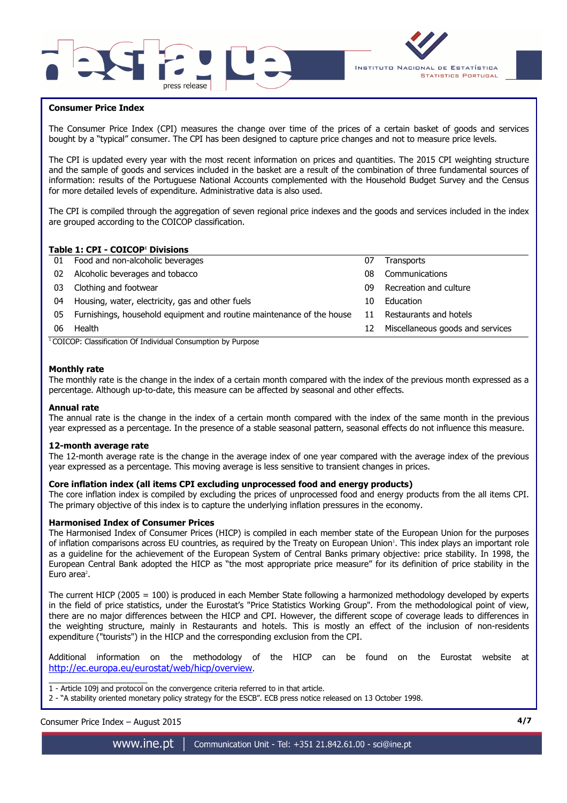



# **Consumer Price Index**

I

The Consumer Price Index (CPI) measures the change over time of the prices of a certain basket of goods and services bought by a "typical" consumer. The CPI has been designed to capture price changes and not to measure price levels.

The CPI is updated every year with the most recent information on prices and quantities. The 2015 CPI weighting structure and the sample of goods and services included in the basket are a result of the combination of three fundamental sources of information: results of the Portuguese National Accounts complemented with the Household Budget Survey and the Census for more detailed levels of expenditure. Administrative data is also used.

The CPI is compiled through the aggregation of seven regional price indexes and the goods and services included in the index are grouped according to the COICOP classification.

## **Table 1: CPI - COICOP<sup>1</sup> Divisions**

| 01 | Food and non-alcoholic beverages                                      | 07 | <b>Transports</b>                |
|----|-----------------------------------------------------------------------|----|----------------------------------|
| 02 | Alcoholic beverages and tobacco                                       | 08 | Communications                   |
| 03 | Clothing and footwear                                                 | 09 | Recreation and culture           |
| 04 | Housing, water, electricity, gas and other fuels                      | 10 | Education                        |
| 05 | Furnishings, household equipment and routine maintenance of the house | 11 | Restaurants and hotels           |
| 06 | Health                                                                | 12 | Miscellaneous goods and services |
|    | $\cdots$<br>$\cdots$<br>$\sim$                                        |    |                                  |

<sup>1</sup> COICOP: Classification Of Individual Consumption by Purpose

### **Monthly rate**

The monthly rate is the change in the index of a certain month compared with the index of the previous month expressed as a percentage. Although up-to-date, this measure can be affected by seasonal and other effects.

#### **Annual rate**

The annual rate is the change in the index of a certain month compared with the index of the same month in the previous year expressed as a percentage. In the presence of a stable seasonal pattern, seasonal effects do not influence this measure.

#### **12-month average rate**

The 12-month average rate is the change in the average index of one year compared with the average index of the previous year expressed as a percentage. This moving average is less sensitive to transient changes in prices.

#### **Core inflation index (all items CPI excluding unprocessed food and energy products)**

The core inflation index is compiled by excluding the prices of unprocessed food and energy products from the all items CPI. The primary objective of this index is to capture the underlying inflation pressures in the economy.

#### **Harmonised Index of Consumer Prices**

The Harmonised Index of Consumer Prices (HICP) is compiled in each member state of the European Union for the purposes of inflation comparisons across EU countries, as required by the Treaty on European Union'. This index plays an important role as a guideline for the achievement of the European System of Central Banks primary objective: price stability. In 1998, the European Central Bank adopted the HICP as "the most appropriate price measure" for its definition of price stability in the Euro area<sup>2</sup>.

The current HICP (2005 = 100) is produced in each Member State following a harmonized methodology developed by experts in the field of price statistics, under the Eurostat's "Price Statistics Working Group". From the methodological point of view, there are no major differences between the HICP and CPI. However, the different scope of coverage leads to differences in the weighting structure, mainly in Restaurants and hotels. This is mostly an effect of the inclusion of non-residents expenditure ("tourists") in the HICP and the corresponding exclusion from the CPI.

Additional information on the methodology of the HICP can be found on the Eurostat website at http://ec.europa.eu/eurostat/web/hicp/overview.

\_\_\_\_\_\_\_\_\_\_\_\_\_\_\_\_\_\_\_\_\_ 1 - Article 109j and protocol on the convergence criteria referred to in that article.

2 - "A stability oriented monetary policy strategy for the ESCB". ECB press notice released on 13 October 1998.

Consumer Price Index – August 2015 **4/7**

www.ine.pt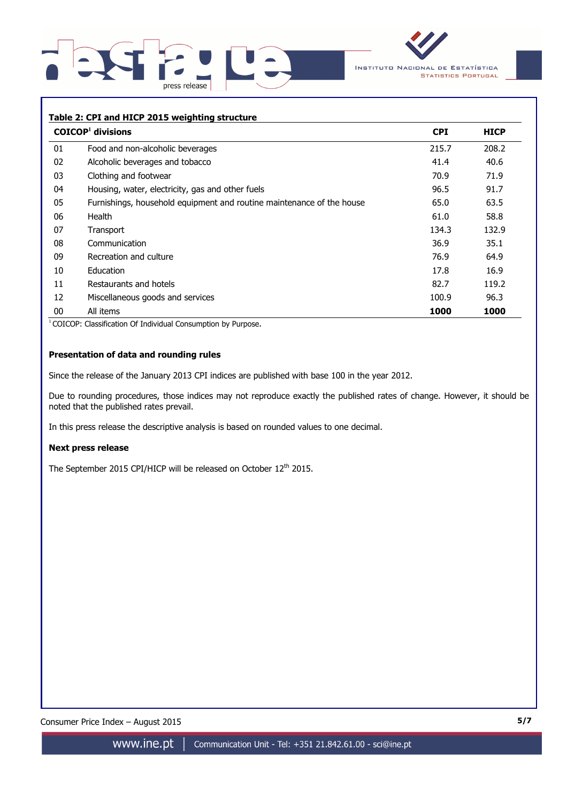



# **Table 2: CPI and HICP 2015 weighting structure**

|    | $COICOP1$ divisions                                                   | <b>CPI</b> | <b>HICP</b> |
|----|-----------------------------------------------------------------------|------------|-------------|
| 01 | Food and non-alcoholic beverages                                      | 215.7      | 208.2       |
| 02 | Alcoholic beverages and tobacco                                       | 41.4       | 40.6        |
| 03 | Clothing and footwear                                                 | 70.9       | 71.9        |
| 04 | Housing, water, electricity, gas and other fuels                      | 96.5       | 91.7        |
| 05 | Furnishings, household equipment and routine maintenance of the house | 65.0       | 63.5        |
| 06 | Health                                                                | 61.0       | 58.8        |
| 07 | Transport                                                             | 134.3      | 132.9       |
| 08 | Communication                                                         | 36.9       | 35.1        |
| 09 | Recreation and culture                                                | 76.9       | 64.9        |
| 10 | Education                                                             | 17.8       | 16.9        |
| 11 | Restaurants and hotels                                                | 82.7       | 119.2       |
| 12 | Miscellaneous goods and services                                      | 100.9      | 96.3        |
| 00 | All items                                                             | 1000       | 1000        |

<sup>1</sup> COICOP: Classification Of Individual Consumption by Purpose.

# **Presentation of data and rounding rules**

Since the release of the January 2013 CPI indices are published with base 100 in the year 2012.

Due to rounding procedures, those indices may not reproduce exactly the published rates of change. However, it should be noted that the published rates prevail.

In this press release the descriptive analysis is based on rounded values to one decimal.

#### **Next press release**

The September 2015 CPI/HICP will be released on October 12<sup>th</sup> 2015.

Consumer Price Index – August 2015 **5/7**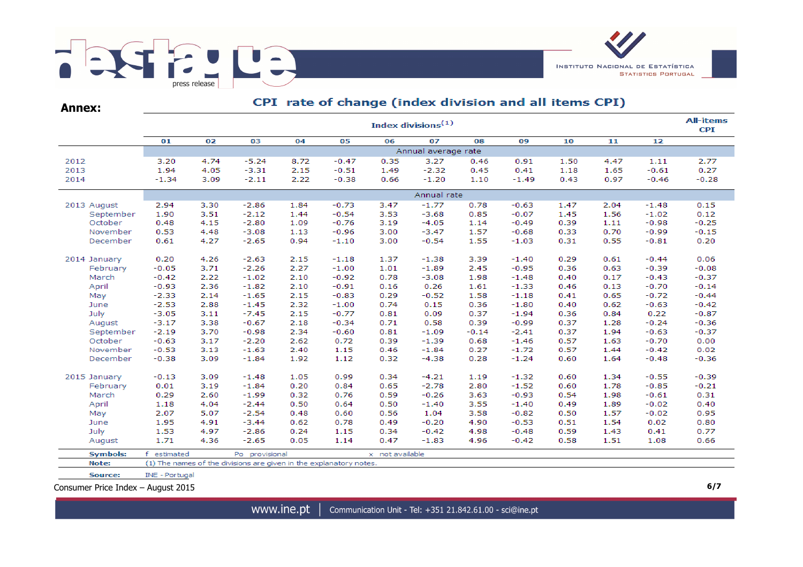

CPI rate of change (index division and all items CPI) **Annex:All-items** Index divisions $(1)$ **CPI**  $01$  $02$  $03$  $04$  $0<sub>5</sub>$ 06  $\overline{07}$ 08 09  $10$  $\overline{11}$  $\overline{12}$ Annual average rate 2012 3.20 4.74  $-5.24$ 8.72  $-0.47$ 0.35 3.27  $0.46$ 0.91 1.50 4.47 1.11 2.77  $-2.32$ 2013 1.94 4.05  $-3.31$ 2.15  $-0.51$ 1.49 0.45 1.65  $-0.61$ 0.27  $0.41$ 1.18 2014  $-1.34$ 3.09  $-2.11$ 2.22  $-0.38$ 0.66  $-1.20$ 1.10  $-1.49$  $0.43$ 0.97  $-0.46$  $-0.28$ Annual rate 2013 August 2.94 3.30  $-2.86$ 1.84  $-0.73$ 3.47  $-1.77$ 0.78  $-0.63$ 1.47 2.04  $-1.48$  $0.15$ September 1.90 3.51  $-2.12$ 1.44  $-0.54$ 3.53  $-3.68$ 0.85  $-0.07$ 1.45 1.56  $-1.02$  $0.12$ October  $0.48$ 4.15  $-2.80$ 1.09  $-0.76$  $3.19$  $-4.05$  $-0.49$ 0.39  $-0.98$  $-0.25$ 1.14 1.11 November 0.53 4.48  $-3.08$ 1.13  $-0.96$ 3.00  $-3.47$ 1.57  $-0.68$ 0.33 0.70  $-0.99$  $-0.15$ December 4.27  $-2.65$ 0.94 3.00  $-0.54$ 1.55 0.55  $-0.81$  $0.20$ 0.61  $-1.10$  $-1.03$ 0.31  $0.20$  $0.29$  $-0.44$ 2014 January 4.26  $-2.63$ 2.15  $-1.18$ 1.37  $-1.38$ 3.39  $-1.40$  $0.61$ 0.06 February  $-0.05$  $3.71$  $-2.26$ 2.27  $-1.00$ 1.01  $-1.89$ 2.45  $-0.95$ 0.36 0.63  $-0.39$  $-0.08$  $-0.42$ 2.22  $-1.02$ 2.10  $-0.92$ 0.78  $-3.08$ 1.98 0.40  $0.17$  $-0.43$  $-0.37$ March  $-1.48$ April  $-0.93$ 2.36  $-1.82$ 2.10  $-0.91$  $0.16$ 0.26 1.61  $-1.33$ 0.46  $0.13$  $-0.70$  $-0.14$  $-2.33$  $-0.83$ 0.29  $-0.52$  $-0.72$  $-0.44$ May 2.14  $-1.65$ 2.15 1.58  $-1.18$  $0.41$ 0.65 June  $-2.53$ 2.88  $-1.45$ 2.32  $-1.00$ 0.74  $0.15$ 0.36  $-1.80$ 0.40 0.62  $-0.63$  $-0.42$ July  $-3.05$  $3.11$  $-7.45$ 2.15  $-0.77$ 0.81  $0.09$ 0.37  $-1.94$ 0.36 0.84 0.22  $-0.87$ August  $-3.17$ 3.38  $-0.67$ 2.18  $-0.34$  $0.71$ 0.58 0.39  $-0.99$ 0.37 1.28  $-0.24$  $-0.36$ September  $-2.19$ 3.70  $-0.98$ 2.34  $-0.60$ 0.81  $-1.09$  $-0.14$  $-2.41$ 0.37 1.94  $-0.63$  $-0.37$  $-0.63$ 2.62 0.72 0.39  $-1.39$  $-0.70$  $0.00$ October 3.17  $-2.20$ 0.68  $-1.46$ 0.57 1.63 November  $-0.53$  $3.13$  $-1.63$ 2.40 1.15 0.46  $-1.84$ 0.27  $-1.72$ 0.57 1.44  $-0.42$  $0.02$ December  $-0.38$ 3.09  $-1.84$ 1.92 1.12 0.32  $-4.38$ 0.28  $-1.24$ 0.60 1.64  $-0.48$  $-0.36$  $-0.13$ 3.09  $-1.48$ 1.05 0.99 0.34  $-4.21$ 1.19  $-1.32$ 0.60 1.34  $-0.55$  $-0.39$ 2015 January  $0.01$  $3.19$  $0.20$ 0.84 0.65  $-2.78$ 2.80 1.78  $-0.85$ February  $-1.84$  $-1.52$ 0.60  $-0.21$ March 0.29 2.60  $-1.99$ 0.32 0.76 0.59  $-0.26$ 3.63  $-0.93$ 0.54 1.98  $-0.61$ 0.31 April 1.18 4.04  $-2.44$ 0.50 0.64 0.50  $-1.40$ 3.55  $-1.40$ 0.49 1.89  $-0.02$ 0.40 May 2.07 5.07  $-2.54$ 0.48 0.60 0.56 1.04 3.58  $-0.82$ 0.50 1.57  $-0.02$ 0.95 June 1.95 4.91  $-3.44$ 0.62 0.78 0.49  $-0.20$ 4.90  $-0.53$ 0.51 1.54 0.02 0.80 1.53 0.34 July 4.97  $-2.86$  $0.24$ 1.15  $-0.42$ 4.98  $-0.48$ 0.59 1.43  $0.41$ 0.77 1.71 4.36  $-2.65$  $0.05$ 1.14 0.47  $-1.83$ 4.96  $-0.42$ 0.58 1.51 1.08 0.66 August **Symbols:** f estimated Po provisional x not available Note: (1) The names of the divisions are given in the explanatory notes.

Source: INE - Portugal

Consumer Price Index – August 2015 **6/7**

www.ine.pt Communication Unit - Tel: +351 21.842.61.00 - sci@ine.pt